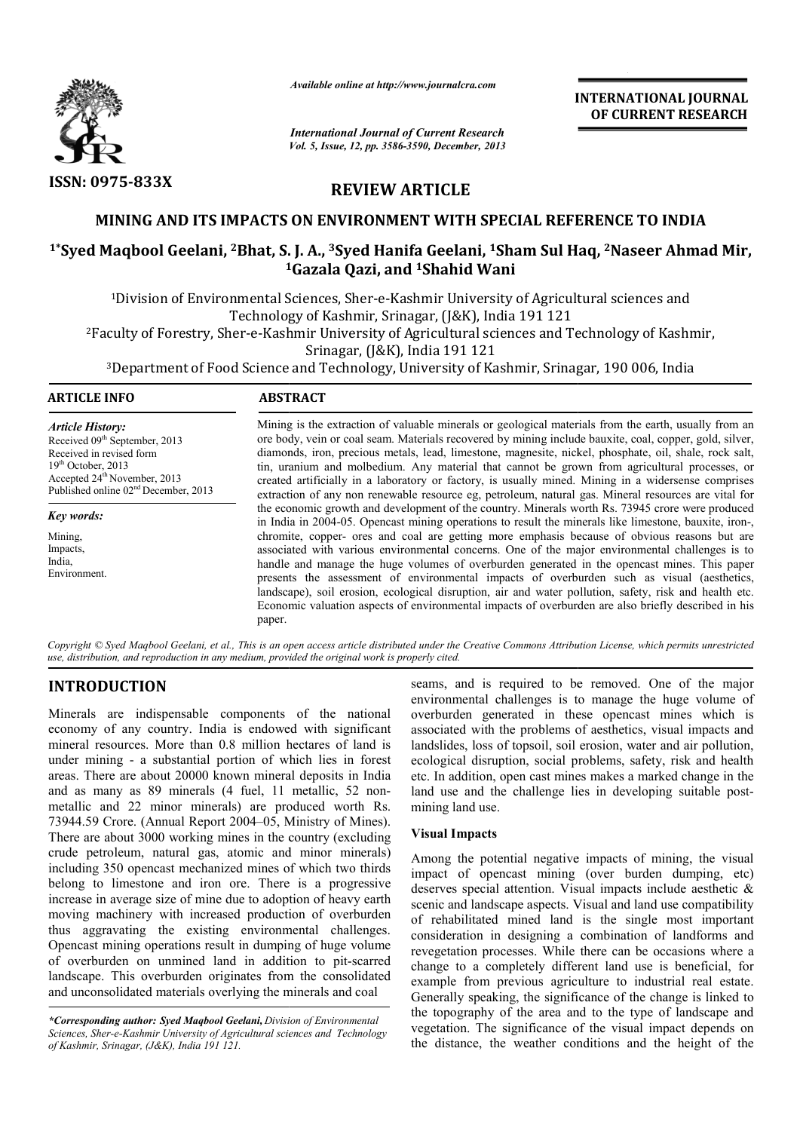

*Available online at http://www.journalcra.com*

# REVIEW ARTICLE

# MINING AND ITS IMPACTS ON ENVIRONMENT WITH SPECIAL REFERENCE TO INDIA

# <sup>1\*</sup>Syed Maqbool Geelani, <sup>2</sup>Bhat, S. J. A., <sup>3</sup>Syed Hanifa Geelani, <sup>1</sup>Sham Sul Haq, <sup>2</sup>Naseer Ahmad Mir, 1 1Gazala Qazi, and 1Shahid Wani

|                                                                                                                                                                                                                                                                                                                                                                                                                                                                                                                                                                                                                                                                                                                                                                                                                                                 |                                                                                                                                                                                                                                                                                                                                                                                                                                                                                                                                                                                                                                                                                                                                                                                                                                                                                                                                                                                                                                                                                                                                                                                                                                                           | <b>INTERNATIONAL JOURNAL</b><br>OF CURRENT RESEARCH                                                                                                                                                                                                                                                                                                                                                                                                                                                                                                                                                                                                                                                                                                                                                                                              |
|-------------------------------------------------------------------------------------------------------------------------------------------------------------------------------------------------------------------------------------------------------------------------------------------------------------------------------------------------------------------------------------------------------------------------------------------------------------------------------------------------------------------------------------------------------------------------------------------------------------------------------------------------------------------------------------------------------------------------------------------------------------------------------------------------------------------------------------------------|-----------------------------------------------------------------------------------------------------------------------------------------------------------------------------------------------------------------------------------------------------------------------------------------------------------------------------------------------------------------------------------------------------------------------------------------------------------------------------------------------------------------------------------------------------------------------------------------------------------------------------------------------------------------------------------------------------------------------------------------------------------------------------------------------------------------------------------------------------------------------------------------------------------------------------------------------------------------------------------------------------------------------------------------------------------------------------------------------------------------------------------------------------------------------------------------------------------------------------------------------------------|--------------------------------------------------------------------------------------------------------------------------------------------------------------------------------------------------------------------------------------------------------------------------------------------------------------------------------------------------------------------------------------------------------------------------------------------------------------------------------------------------------------------------------------------------------------------------------------------------------------------------------------------------------------------------------------------------------------------------------------------------------------------------------------------------------------------------------------------------|
|                                                                                                                                                                                                                                                                                                                                                                                                                                                                                                                                                                                                                                                                                                                                                                                                                                                 | <b>International Journal of Current Research</b><br>Vol. 5, Issue, 12, pp. 3586-3590, December, 2013                                                                                                                                                                                                                                                                                                                                                                                                                                                                                                                                                                                                                                                                                                                                                                                                                                                                                                                                                                                                                                                                                                                                                      |                                                                                                                                                                                                                                                                                                                                                                                                                                                                                                                                                                                                                                                                                                                                                                                                                                                  |
| <b>ISSN: 0975-833X</b>                                                                                                                                                                                                                                                                                                                                                                                                                                                                                                                                                                                                                                                                                                                                                                                                                          | <b>REVIEW ARTICLE</b>                                                                                                                                                                                                                                                                                                                                                                                                                                                                                                                                                                                                                                                                                                                                                                                                                                                                                                                                                                                                                                                                                                                                                                                                                                     |                                                                                                                                                                                                                                                                                                                                                                                                                                                                                                                                                                                                                                                                                                                                                                                                                                                  |
|                                                                                                                                                                                                                                                                                                                                                                                                                                                                                                                                                                                                                                                                                                                                                                                                                                                 |                                                                                                                                                                                                                                                                                                                                                                                                                                                                                                                                                                                                                                                                                                                                                                                                                                                                                                                                                                                                                                                                                                                                                                                                                                                           | MINING AND ITS IMPACTS ON ENVIRONMENT WITH SPECIAL REFERENCE TO INDIA                                                                                                                                                                                                                                                                                                                                                                                                                                                                                                                                                                                                                                                                                                                                                                            |
|                                                                                                                                                                                                                                                                                                                                                                                                                                                                                                                                                                                                                                                                                                                                                                                                                                                 | <sup>1</sup> Gazala Qazi, and <sup>1</sup> Shahid Wani                                                                                                                                                                                                                                                                                                                                                                                                                                                                                                                                                                                                                                                                                                                                                                                                                                                                                                                                                                                                                                                                                                                                                                                                    | <sup>1</sup> *Syed Maqbool Geelani, <sup>2</sup> Bhat, S. J. A., <sup>3</sup> Syed Hanifa Geelani, <sup>1</sup> Sham Sul Haq, <sup>2</sup> Naseer Ahmad Mir,                                                                                                                                                                                                                                                                                                                                                                                                                                                                                                                                                                                                                                                                                     |
|                                                                                                                                                                                                                                                                                                                                                                                                                                                                                                                                                                                                                                                                                                                                                                                                                                                 | Srinagar, (J&K), India 191 121                                                                                                                                                                                                                                                                                                                                                                                                                                                                                                                                                                                                                                                                                                                                                                                                                                                                                                                                                                                                                                                                                                                                                                                                                            | <sup>1</sup> Division of Environmental Sciences, Sher-e-Kashmir University of Agricultural sciences and<br>Technology of Kashmir, Srinagar, (J&K), India 191 121<br><sup>2</sup> Faculty of Forestry, Sher-e-Kashmir University of Agricultural sciences and Technology of Kashmir,<br><sup>3</sup> Department of Food Science and Technology, University of Kashmir, Srinagar, 190 006, India                                                                                                                                                                                                                                                                                                                                                                                                                                                   |
| <b>ARTICLE INFO</b>                                                                                                                                                                                                                                                                                                                                                                                                                                                                                                                                                                                                                                                                                                                                                                                                                             | <b>ABSTRACT</b>                                                                                                                                                                                                                                                                                                                                                                                                                                                                                                                                                                                                                                                                                                                                                                                                                                                                                                                                                                                                                                                                                                                                                                                                                                           |                                                                                                                                                                                                                                                                                                                                                                                                                                                                                                                                                                                                                                                                                                                                                                                                                                                  |
| <b>Article History:</b><br>Received 09th September, 2013<br>Received in revised form<br>19th October, 2013<br>Accepted 24 <sup>th</sup> November, 2013<br>Published online 02 <sup>nd</sup> December, 2013<br>Key words:<br>Mining,<br>Impacts,<br>India,<br>Environment.                                                                                                                                                                                                                                                                                                                                                                                                                                                                                                                                                                       | Mining is the extraction of valuable minerals or geological materials from the earth, usually from an<br>ore body, vein or coal seam. Materials recovered by mining include bauxite, coal, copper, gold, silver,<br>diamonds, iron, precious metals, lead, limestone, magnesite, nickel, phosphate, oil, shale, rock salt,<br>tin, uranium and molbedium. Any material that cannot be grown from agricultural processes, or<br>created artificially in a laboratory or factory, is usually mined. Mining in a widersense comprises<br>extraction of any non renewable resource eg, petroleum, natural gas. Mineral resources are vital for<br>the economic growth and development of the country. Minerals worth Rs. 73945 crore were produced<br>in India in 2004-05. Opencast mining operations to result the minerals like limestone, bauxite, iron-,<br>chromite, copper- ores and coal are getting more emphasis because of obvious reasons but are<br>associated with various environmental concerns. One of the major environmental challenges is to<br>handle and manage the huge volumes of overburden generated in the opencast mines. This paper<br>presents the assessment of environmental impacts of overburden such as visual (aesthetics, |                                                                                                                                                                                                                                                                                                                                                                                                                                                                                                                                                                                                                                                                                                                                                                                                                                                  |
| use, distribution, and reproduction in any medium, provided the original work is properly cited.                                                                                                                                                                                                                                                                                                                                                                                                                                                                                                                                                                                                                                                                                                                                                | paper.                                                                                                                                                                                                                                                                                                                                                                                                                                                                                                                                                                                                                                                                                                                                                                                                                                                                                                                                                                                                                                                                                                                                                                                                                                                    | landscape), soil erosion, ecological disruption, air and water pollution, safety, risk and health etc.<br>Economic valuation aspects of environmental impacts of overburden are also briefly described in his<br>Copyright © Syed Maqbool Geelani, et al., This is an open access article distributed under the Creative Commons Attribution License, which permits unrestricted                                                                                                                                                                                                                                                                                                                                                                                                                                                                 |
| <b>INTRODUCTION</b><br>Minerals are indispensable components of the national<br>economy of any country. India is endowed with significant<br>mineral resources. More than 0.8 million hectares of land is<br>under mining - a substantial portion of which lies in forest<br>areas. There are about 20000 known mineral deposits in India<br>and as many as 89 minerals (4 fuel, 11 metallic, 52 non-<br>metallic and 22 minor minerals) are produced worth Rs.<br>73944.59 Crore. (Annual Report 2004–05, Ministry of Mines).<br>There are about 3000 working mines in the country (excluding                                                                                                                                                                                                                                                  |                                                                                                                                                                                                                                                                                                                                                                                                                                                                                                                                                                                                                                                                                                                                                                                                                                                                                                                                                                                                                                                                                                                                                                                                                                                           | seams, and is required to be removed. One of the major<br>environmental challenges is to manage the huge volume of<br>overburden generated in these opencast mines which is<br>associated with the problems of aesthetics, visual impacts and<br>landslides, loss of topsoil, soil erosion, water and air pollution,<br>ecological disruption, social problems, safety, risk and health<br>etc. In addition, open cast mines makes a marked change in the<br>land use and the challenge lies in developing suitable post-<br>mining land use.<br><b>Visual Impacts</b>                                                                                                                                                                                                                                                                           |
| crude petroleum, natural gas, atomic and minor minerals)<br>including 350 opencast mechanized mines of which two thirds<br>belong to limestone and iron ore. There is a progressive<br>increase in average size of mine due to adoption of heavy earth<br>moving machinery with increased production of overburden<br>thus aggravating the existing environmental challenges.<br>Opencast mining operations result in dumping of huge volume<br>of overburden on unmined land in addition to pit-scarred<br>landscape. This overburden originates from the consolidated<br>and unconsolidated materials overlying the minerals and coal<br>*Corresponding author: Syed Maqbool Geelani, Division of Environmental<br>Sciences, Sher-e-Kashmir University of Agricultural sciences and Technology<br>of Kashmir, Srinagar, (J&K), India 191 121. |                                                                                                                                                                                                                                                                                                                                                                                                                                                                                                                                                                                                                                                                                                                                                                                                                                                                                                                                                                                                                                                                                                                                                                                                                                                           | Among the potential negative impacts of mining, the visual<br>impact of opencast mining (over burden dumping, etc)<br>deserves special attention. Visual impacts include aesthetic &<br>scenic and landscape aspects. Visual and land use compatibility<br>of rehabilitated mined land is the single most important<br>consideration in designing a combination of landforms and<br>revegetation processes. While there can be occasions where a<br>change to a completely different land use is beneficial, for<br>example from previous agriculture to industrial real estate.<br>Generally speaking, the significance of the change is linked to<br>the topography of the area and to the type of landscape and<br>vegetation. The significance of the visual impact depends on<br>the distance, the weather conditions and the height of the |

# INTRODUCTION

*\*Corresponding author: Syed Maqbool Geelani, Division of Environmental*  Sciences, Sher-e-Kashmir University of Agricultural sciences and Technology *of Kashmir, Srinagar, (J&K), India 191 121.*

# Visual Impacts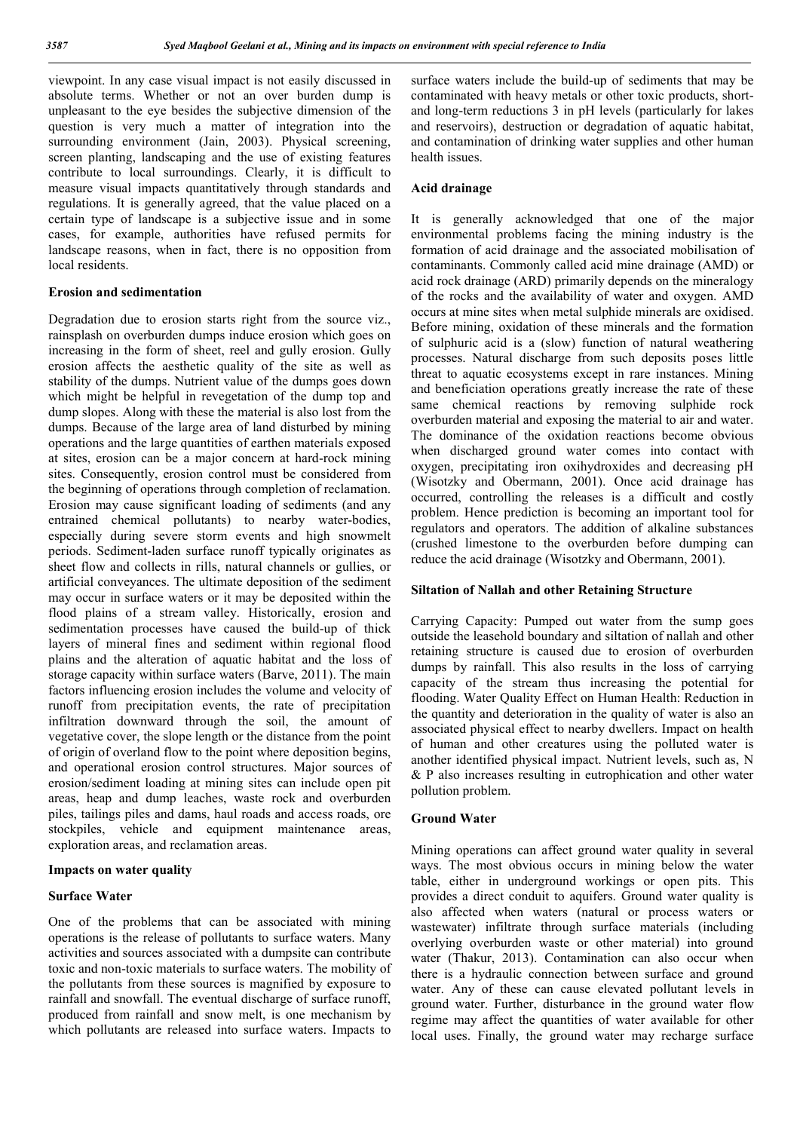viewpoint. In any case visual impact is not easily discussed in absolute terms. Whether or not an over burden dump is unpleasant to the eye besides the subjective dimension of the question is very much a matter of integration into the surrounding environment (Jain, 2003). Physical screening, screen planting, landscaping and the use of existing features contribute to local surroundings. Clearly, it is difficult to measure visual impacts quantitatively through standards and regulations. It is generally agreed, that the value placed on a certain type of landscape is a subjective issue and in some cases, for example, authorities have refused permits for landscape reasons, when in fact, there is no opposition from local residents.

## Erosion and sedimentation

Degradation due to erosion starts right from the source viz., rainsplash on overburden dumps induce erosion which goes on increasing in the form of sheet, reel and gully erosion. Gully erosion affects the aesthetic quality of the site as well as stability of the dumps. Nutrient value of the dumps goes down which might be helpful in revegetation of the dump top and dump slopes. Along with these the material is also lost from the dumps. Because of the large area of land disturbed by mining operations and the large quantities of earthen materials exposed at sites, erosion can be a major concern at hard-rock mining sites. Consequently, erosion control must be considered from the beginning of operations through completion of reclamation. Erosion may cause significant loading of sediments (and any entrained chemical pollutants) to nearby water-bodies, especially during severe storm events and high snowmelt periods. Sediment-laden surface runoff typically originates as sheet flow and collects in rills, natural channels or gullies, or artificial conveyances. The ultimate deposition of the sediment may occur in surface waters or it may be deposited within the flood plains of a stream valley. Historically, erosion and sedimentation processes have caused the build-up of thick layers of mineral fines and sediment within regional flood plains and the alteration of aquatic habitat and the loss of storage capacity within surface waters (Barve, 2011). The main factors influencing erosion includes the volume and velocity of runoff from precipitation events, the rate of precipitation infiltration downward through the soil, the amount of vegetative cover, the slope length or the distance from the point of origin of overland flow to the point where deposition begins, and operational erosion control structures. Major sources of erosion/sediment loading at mining sites can include open pit areas, heap and dump leaches, waste rock and overburden piles, tailings piles and dams, haul roads and access roads, ore stockpiles, vehicle and equipment maintenance areas, exploration areas, and reclamation areas.

#### Impacts on water quality

#### Surface Water

One of the problems that can be associated with mining operations is the release of pollutants to surface waters. Many activities and sources associated with a dumpsite can contribute toxic and non-toxic materials to surface waters. The mobility of the pollutants from these sources is magnified by exposure to rainfall and snowfall. The eventual discharge of surface runoff, produced from rainfall and snow melt, is one mechanism by which pollutants are released into surface waters. Impacts to

surface waters include the build-up of sediments that may be contaminated with heavy metals or other toxic products, shortand long-term reductions 3 in pH levels (particularly for lakes and reservoirs), destruction or degradation of aquatic habitat, and contamination of drinking water supplies and other human health issues.

#### Acid drainage

It is generally acknowledged that one of the major environmental problems facing the mining industry is the formation of acid drainage and the associated mobilisation of contaminants. Commonly called acid mine drainage (AMD) or acid rock drainage (ARD) primarily depends on the mineralogy of the rocks and the availability of water and oxygen. AMD occurs at mine sites when metal sulphide minerals are oxidised. Before mining, oxidation of these minerals and the formation of sulphuric acid is a (slow) function of natural weathering processes. Natural discharge from such deposits poses little threat to aquatic ecosystems except in rare instances. Mining and beneficiation operations greatly increase the rate of these same chemical reactions by removing sulphide rock overburden material and exposing the material to air and water. The dominance of the oxidation reactions become obvious when discharged ground water comes into contact with oxygen, precipitating iron oxihydroxides and decreasing pH (Wisotzky and Obermann, 2001). Once acid drainage has occurred, controlling the releases is a difficult and costly problem. Hence prediction is becoming an important tool for regulators and operators. The addition of alkaline substances (crushed limestone to the overburden before dumping can reduce the acid drainage (Wisotzky and Obermann, 2001).

#### Siltation of Nallah and other Retaining Structure

Carrying Capacity: Pumped out water from the sump goes outside the leasehold boundary and siltation of nallah and other retaining structure is caused due to erosion of overburden dumps by rainfall. This also results in the loss of carrying capacity of the stream thus increasing the potential for flooding. Water Quality Effect on Human Health: Reduction in the quantity and deterioration in the quality of water is also an associated physical effect to nearby dwellers. Impact on health of human and other creatures using the polluted water is another identified physical impact. Nutrient levels, such as, N & P also increases resulting in eutrophication and other water pollution problem.

## Ground Water

Mining operations can affect ground water quality in several ways. The most obvious occurs in mining below the water table, either in underground workings or open pits. This provides a direct conduit to aquifers. Ground water quality is also affected when waters (natural or process waters or wastewater) infiltrate through surface materials (including overlying overburden waste or other material) into ground water (Thakur, 2013). Contamination can also occur when there is a hydraulic connection between surface and ground water. Any of these can cause elevated pollutant levels in ground water. Further, disturbance in the ground water flow regime may affect the quantities of water available for other local uses. Finally, the ground water may recharge surface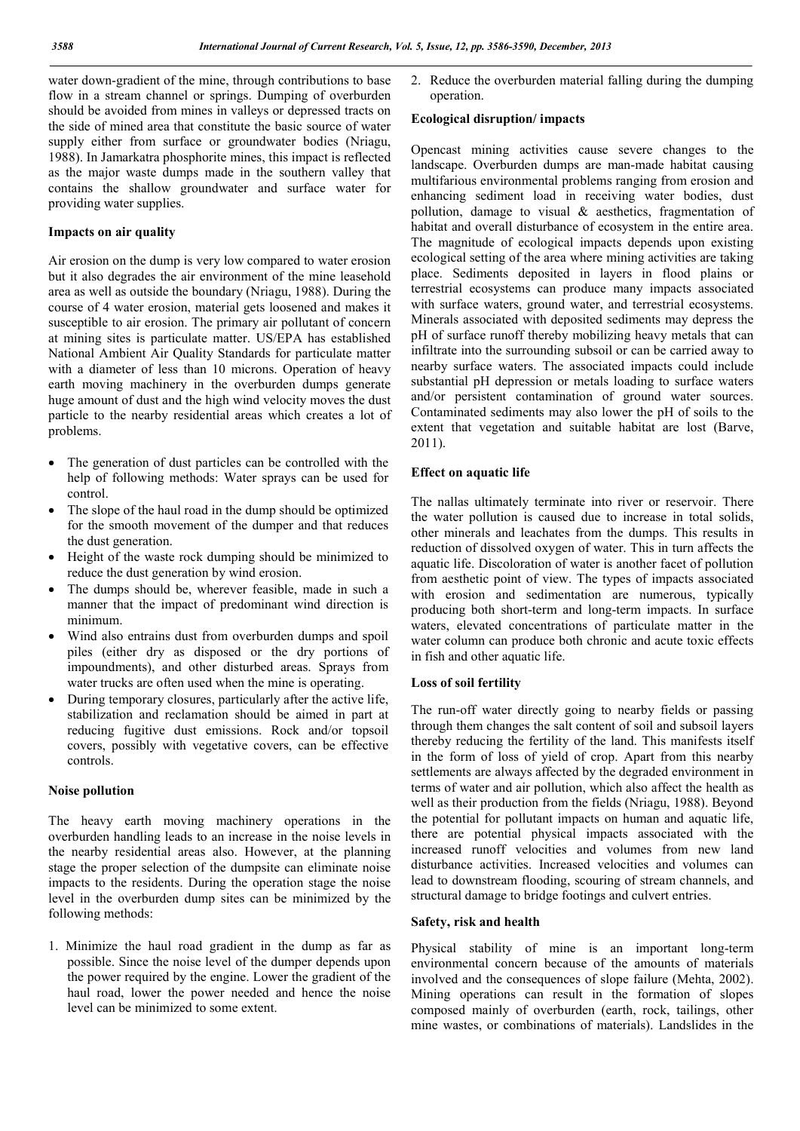water down-gradient of the mine, through contributions to base flow in a stream channel or springs. Dumping of overburden should be avoided from mines in valleys or depressed tracts on the side of mined area that constitute the basic source of water supply either from surface or groundwater bodies (Nriagu, 1988). In Jamarkatra phosphorite mines, this impact is reflected as the major waste dumps made in the southern valley that contains the shallow groundwater and surface water for providing water supplies.

### Impacts on air quality

Air erosion on the dump is very low compared to water erosion but it also degrades the air environment of the mine leasehold area as well as outside the boundary (Nriagu, 1988). During the course of 4 water erosion, material gets loosened and makes it susceptible to air erosion. The primary air pollutant of concern at mining sites is particulate matter. US/EPA has established National Ambient Air Quality Standards for particulate matter with a diameter of less than 10 microns. Operation of heavy earth moving machinery in the overburden dumps generate huge amount of dust and the high wind velocity moves the dust particle to the nearby residential areas which creates a lot of problems.

- The generation of dust particles can be controlled with the help of following methods: Water sprays can be used for control.
- The slope of the haul road in the dump should be optimized for the smooth movement of the dumper and that reduces the dust generation.
- Height of the waste rock dumping should be minimized to reduce the dust generation by wind erosion.
- The dumps should be, wherever feasible, made in such a manner that the impact of predominant wind direction is minimum.
- Wind also entrains dust from overburden dumps and spoil piles (either dry as disposed or the dry portions of impoundments), and other disturbed areas. Sprays from water trucks are often used when the mine is operating.
- During temporary closures, particularly after the active life, stabilization and reclamation should be aimed in part at reducing fugitive dust emissions. Rock and/or topsoil covers, possibly with vegetative covers, can be effective controls.

#### Noise pollution

The heavy earth moving machinery operations in the overburden handling leads to an increase in the noise levels in the nearby residential areas also. However, at the planning stage the proper selection of the dumpsite can eliminate noise impacts to the residents. During the operation stage the noise level in the overburden dump sites can be minimized by the following methods:

1. Minimize the haul road gradient in the dump as far as possible. Since the noise level of the dumper depends upon the power required by the engine. Lower the gradient of the haul road, lower the power needed and hence the noise level can be minimized to some extent.

2. Reduce the overburden material falling during the dumping operation.

#### Ecological disruption/ impacts

Opencast mining activities cause severe changes to the landscape. Overburden dumps are man-made habitat causing multifarious environmental problems ranging from erosion and enhancing sediment load in receiving water bodies, dust pollution, damage to visual & aesthetics, fragmentation of habitat and overall disturbance of ecosystem in the entire area. The magnitude of ecological impacts depends upon existing ecological setting of the area where mining activities are taking place. Sediments deposited in layers in flood plains or terrestrial ecosystems can produce many impacts associated with surface waters, ground water, and terrestrial ecosystems. Minerals associated with deposited sediments may depress the pH of surface runoff thereby mobilizing heavy metals that can infiltrate into the surrounding subsoil or can be carried away to nearby surface waters. The associated impacts could include substantial pH depression or metals loading to surface waters and/or persistent contamination of ground water sources. Contaminated sediments may also lower the pH of soils to the extent that vegetation and suitable habitat are lost (Barve, 2011).

#### Effect on aquatic life

The nallas ultimately terminate into river or reservoir. There the water pollution is caused due to increase in total solids, other minerals and leachates from the dumps. This results in reduction of dissolved oxygen of water. This in turn affects the aquatic life. Discoloration of water is another facet of pollution from aesthetic point of view. The types of impacts associated with erosion and sedimentation are numerous, typically producing both short-term and long-term impacts. In surface waters, elevated concentrations of particulate matter in the water column can produce both chronic and acute toxic effects in fish and other aquatic life.

## Loss of soil fertility

The run-off water directly going to nearby fields or passing through them changes the salt content of soil and subsoil layers thereby reducing the fertility of the land. This manifests itself in the form of loss of yield of crop. Apart from this nearby settlements are always affected by the degraded environment in terms of water and air pollution, which also affect the health as well as their production from the fields (Nriagu, 1988). Beyond the potential for pollutant impacts on human and aquatic life, there are potential physical impacts associated with the increased runoff velocities and volumes from new land disturbance activities. Increased velocities and volumes can lead to downstream flooding, scouring of stream channels, and structural damage to bridge footings and culvert entries.

#### Safety, risk and health

Physical stability of mine is an important long-term environmental concern because of the amounts of materials involved and the consequences of slope failure (Mehta, 2002). Mining operations can result in the formation of slopes composed mainly of overburden (earth, rock, tailings, other mine wastes, or combinations of materials). Landslides in the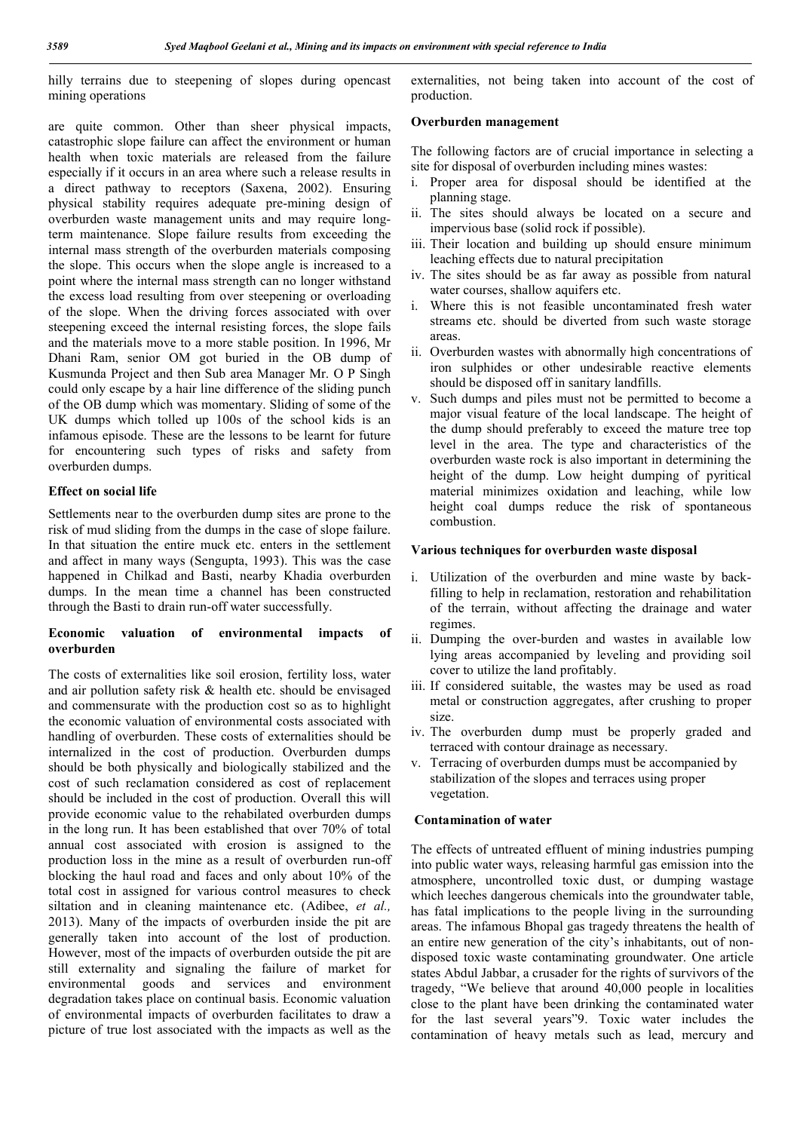hilly terrains due to steepening of slopes during opencast mining operations

are quite common. Other than sheer physical impacts, catastrophic slope failure can affect the environment or human health when toxic materials are released from the failure especially if it occurs in an area where such a release results in a direct pathway to receptors (Saxena, 2002). Ensuring physical stability requires adequate pre-mining design of overburden waste management units and may require longterm maintenance. Slope failure results from exceeding the internal mass strength of the overburden materials composing the slope. This occurs when the slope angle is increased to a point where the internal mass strength can no longer withstand the excess load resulting from over steepening or overloading of the slope. When the driving forces associated with over steepening exceed the internal resisting forces, the slope fails and the materials move to a more stable position. In 1996, Mr Dhani Ram, senior OM got buried in the OB dump of Kusmunda Project and then Sub area Manager Mr. O P Singh could only escape by a hair line difference of the sliding punch of the OB dump which was momentary. Sliding of some of the UK dumps which tolled up 100s of the school kids is an infamous episode. These are the lessons to be learnt for future for encountering such types of risks and safety from overburden dumps.

# Effect on social life

Settlements near to the overburden dump sites are prone to the risk of mud sliding from the dumps in the case of slope failure. In that situation the entire muck etc. enters in the settlement and affect in many ways (Sengupta, 1993). This was the case happened in Chilkad and Basti, nearby Khadia overburden dumps. In the mean time a channel has been constructed through the Basti to drain run-off water successfully.

# Economic valuation of environmental impacts of overburden

The costs of externalities like soil erosion, fertility loss, water and air pollution safety risk & health etc. should be envisaged and commensurate with the production cost so as to highlight the economic valuation of environmental costs associated with handling of overburden. These costs of externalities should be internalized in the cost of production. Overburden dumps should be both physically and biologically stabilized and the cost of such reclamation considered as cost of replacement should be included in the cost of production. Overall this will provide economic value to the rehabilated overburden dumps in the long run. It has been established that over 70% of total annual cost associated with erosion is assigned to the production loss in the mine as a result of overburden run-off blocking the haul road and faces and only about 10% of the total cost in assigned for various control measures to check siltation and in cleaning maintenance etc. (Adibee, *et al.,* 2013). Many of the impacts of overburden inside the pit are generally taken into account of the lost of production. However, most of the impacts of overburden outside the pit are still externality and signaling the failure of market for environmental goods and services and environment degradation takes place on continual basis. Economic valuation of environmental impacts of overburden facilitates to draw a picture of true lost associated with the impacts as well as the

externalities, not being taken into account of the cost of production.

#### Overburden management

The following factors are of crucial importance in selecting a site for disposal of overburden including mines wastes:

- i. Proper area for disposal should be identified at the planning stage.
- ii. The sites should always be located on a secure and impervious base (solid rock if possible).
- iii. Their location and building up should ensure minimum leaching effects due to natural precipitation
- iv. The sites should be as far away as possible from natural water courses, shallow aquifers etc.
- i. Where this is not feasible uncontaminated fresh water streams etc. should be diverted from such waste storage areas.
- ii. Overburden wastes with abnormally high concentrations of iron sulphides or other undesirable reactive elements should be disposed off in sanitary landfills.
- v. Such dumps and piles must not be permitted to become a major visual feature of the local landscape. The height of the dump should preferably to exceed the mature tree top level in the area. The type and characteristics of the overburden waste rock is also important in determining the height of the dump. Low height dumping of pyritical material minimizes oxidation and leaching, while low height coal dumps reduce the risk of spontaneous combustion.

#### Various techniques for overburden waste disposal

- i. Utilization of the overburden and mine waste by backfilling to help in reclamation, restoration and rehabilitation of the terrain, without affecting the drainage and water regimes.
- ii. Dumping the over-burden and wastes in available low lying areas accompanied by leveling and providing soil cover to utilize the land profitably.
- iii. If considered suitable, the wastes may be used as road metal or construction aggregates, after crushing to proper size.
- iv. The overburden dump must be properly graded and terraced with contour drainage as necessary.
- v. Terracing of overburden dumps must be accompanied by stabilization of the slopes and terraces using proper vegetation.

#### Contamination of water

The effects of untreated effluent of mining industries pumping into public water ways, releasing harmful gas emission into the atmosphere, uncontrolled toxic dust, or dumping wastage which leeches dangerous chemicals into the groundwater table, has fatal implications to the people living in the surrounding areas. The infamous Bhopal gas tragedy threatens the health of an entire new generation of the city's inhabitants, out of nondisposed toxic waste contaminating groundwater. One article states Abdul Jabbar, a crusader for the rights of survivors of the tragedy, "We believe that around 40,000 people in localities close to the plant have been drinking the contaminated water for the last several years"9. Toxic water includes the contamination of heavy metals such as lead, mercury and